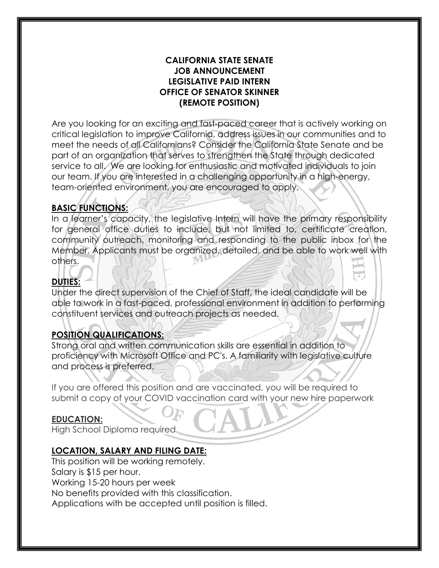#### **CALIFORNIA STATE SENATE JOB ANNOUNCEMENT LEGISLATIVE PAID INTERN OFFICE OF SENATOR SKINNER (REMOTE POSITION)**

Are you looking for an exciting and fast-paced career that is actively working on critical legislation to improve California, address issues in our communities and to meet the needs of all Californians? Consider the California State Senate and be part of an organization that serves to strengthen the State through dedicated service to all. We are looking for enthusiastic and motivated individuals to join our team. If you are interested in a challenging opportunity in a high-energy, team-oriented environment, you are encouraged to apply.

# **BASIC FUNCTIONS:**

In a learner's capacity, the legislative Intern will have the primary responsibility for general office duties to include, but not limited to, certificate creation, community outreach, monitoring and responding to the public inbox for the Member. Applicants must be organized, detailed, and be able to work well with others.

# **DUTIES:**

Under the direct supervision of the Chief of Staff, the ideal candidate will be able to work in a fast-paced, professional environment in addition to performing constituent services and outreach projects as needed.

## **POSITION QUALIFICATIONS:**

Strong oral and written communication skills are essential in addition to proficiency with Microsoft Office and PC's. A familiarity with legislative culture and process is preferred.

If you are offered this position and are vaccinated, you will be required to submit a copy of your COVID vaccination card with your new hire paperwork

## **EDUCATION:**

High School Diploma required.

## **LOCATION, SALARY AND FILING DATE:**

This position will be working remotely. Salary is \$15 per hour. Working 15-20 hours per week No benefits provided with this classification. Applications with be accepted until position is filled.